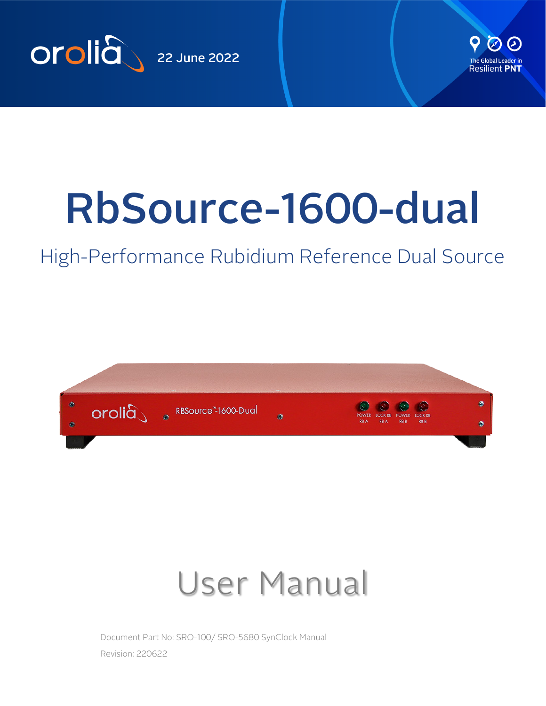



# RbSource-1600-dual

# High-Performance Rubidium Reference Dual Source



# User Manual

Document Part No: SRO-100/ SRO-5680 SynClock Manual Revision: 220622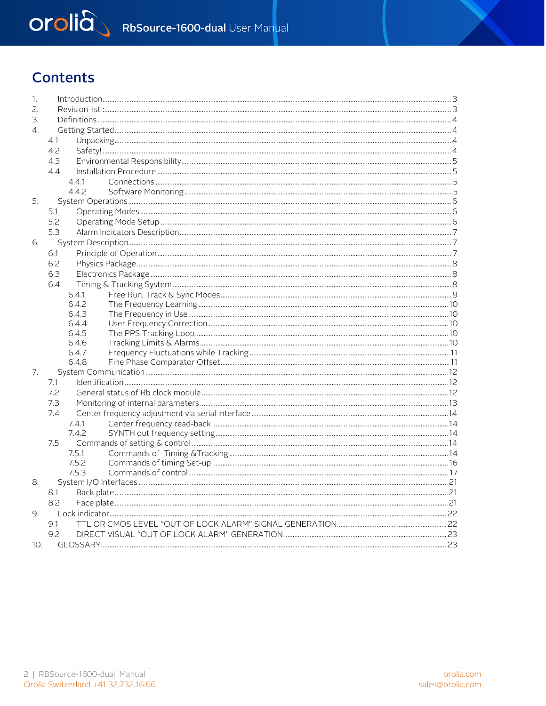# Orolià RbSource-1600-dual User Manual

## **Contents**

| 1.                    |                |  |  |  |
|-----------------------|----------------|--|--|--|
| 2.                    |                |  |  |  |
| 3.                    |                |  |  |  |
| $\mathcal{A}_{\cdot}$ |                |  |  |  |
|                       | 4.1            |  |  |  |
|                       | 4.2            |  |  |  |
|                       | 4.3            |  |  |  |
|                       | 4.4            |  |  |  |
|                       | 4.4.1          |  |  |  |
|                       | 4.4.2          |  |  |  |
| 5.                    |                |  |  |  |
|                       | 5.1            |  |  |  |
|                       | 5.2            |  |  |  |
|                       | 5.3            |  |  |  |
| 6.                    |                |  |  |  |
|                       |                |  |  |  |
|                       | 6.1            |  |  |  |
|                       | 6.2            |  |  |  |
|                       | 6.3            |  |  |  |
|                       | 6.4            |  |  |  |
|                       | 6.4.1          |  |  |  |
|                       | 6.4.2          |  |  |  |
|                       | 6.4.3          |  |  |  |
|                       | 6.4.4<br>6.4.5 |  |  |  |
|                       | 6.4.6          |  |  |  |
|                       | 6.4.7          |  |  |  |
|                       | 6.4.8          |  |  |  |
| 7.                    |                |  |  |  |
|                       | 7.1            |  |  |  |
|                       | 7.2            |  |  |  |
|                       | 7.3            |  |  |  |
|                       | 7.4            |  |  |  |
|                       | 7.4.1          |  |  |  |
|                       | 7.4.2          |  |  |  |
|                       | 7.5            |  |  |  |
|                       | 7.5.1          |  |  |  |
|                       | 7.5.2          |  |  |  |
|                       | 7.5.3          |  |  |  |
| 8.                    |                |  |  |  |
|                       | 8.1            |  |  |  |
|                       | 8.2            |  |  |  |
| 9.                    |                |  |  |  |
|                       | 9.1            |  |  |  |
|                       |                |  |  |  |
|                       | 9.2            |  |  |  |
| 10.                   |                |  |  |  |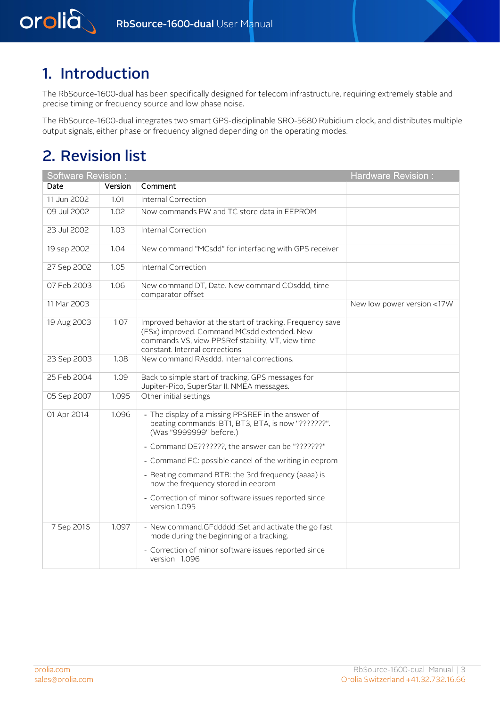# 1. Introduction

<span id="page-2-0"></span>orolia

<span id="page-2-1"></span>The RbSource-1600-dual has been specifically designed for telecom infrastructure, requiring extremely stable and precise timing or frequency source and low phase noise.

The RbSource-1600-dual integrates two smart GPS-disciplinable SRO-5680 Rubidium clock, and distributes multiple output signals, either phase or frequency aligned depending on the operating modes.

# 2. Revision list

| <b>Software Revision:</b>                                                                                               |         | <b>Hardware Revision:</b>                                                                                                                                                                        |                            |
|-------------------------------------------------------------------------------------------------------------------------|---------|--------------------------------------------------------------------------------------------------------------------------------------------------------------------------------------------------|----------------------------|
| Date                                                                                                                    | Version | Comment                                                                                                                                                                                          |                            |
| 11 Jun 2002                                                                                                             | 1.01    | Internal Correction                                                                                                                                                                              |                            |
| 09 Jul 2002                                                                                                             | 1.02    | Now commands PW and TC store data in EEPROM                                                                                                                                                      |                            |
| 23 Jul 2002                                                                                                             | 1.03    | Internal Correction                                                                                                                                                                              |                            |
| 19 sep 2002                                                                                                             | 1.04    | New command "MCsdd" for interfacing with GPS receiver                                                                                                                                            |                            |
| 27 Sep 2002                                                                                                             | 1.05    | Internal Correction                                                                                                                                                                              |                            |
| 07 Feb 2003                                                                                                             | 1.06    | New command DT, Date. New command COsddd, time<br>comparator offset                                                                                                                              |                            |
| 11 Mar 2003                                                                                                             |         |                                                                                                                                                                                                  | New low power version <17W |
| 19 Aug 2003                                                                                                             | 1.07    | Improved behavior at the start of tracking. Frequency save<br>(FSx) improved. Command MCsdd extended. New<br>commands VS, view PPSRef stability, VT, view time<br>constant. Internal corrections |                            |
| 23 Sep 2003                                                                                                             | 1.08    | New command RAsddd. Internal corrections.                                                                                                                                                        |                            |
| 25 Feb 2004<br>1.09<br>Back to simple start of tracking. GPS messages for<br>Jupiter-Pico, SuperStar II. NMEA messages. |         |                                                                                                                                                                                                  |                            |
| 05 Sep 2007                                                                                                             | 1.095   | Other initial settings                                                                                                                                                                           |                            |
| 01 Apr 2014                                                                                                             | 1.096   | - The display of a missing PPSREF in the answer of<br>beating commands: BT1, BT3, BTA, is now "???????".<br>(Was "9999999" before.)                                                              |                            |
|                                                                                                                         |         | - Command DE???????, the answer can be "???????"                                                                                                                                                 |                            |
|                                                                                                                         |         | - Command FC: possible cancel of the writing in eeprom                                                                                                                                           |                            |
|                                                                                                                         |         | - Beating command BTB: the 3rd frequency (aaaa) is<br>now the frequency stored in eeprom                                                                                                         |                            |
|                                                                                                                         |         | - Correction of minor software issues reported since<br>version 1.095                                                                                                                            |                            |
| 7 Sep 2016                                                                                                              | 1.097   | - New command.GFddddd :Set and activate the go fast<br>mode during the beginning of a tracking.                                                                                                  |                            |
|                                                                                                                         |         | - Correction of minor software issues reported since<br>version 1.096                                                                                                                            |                            |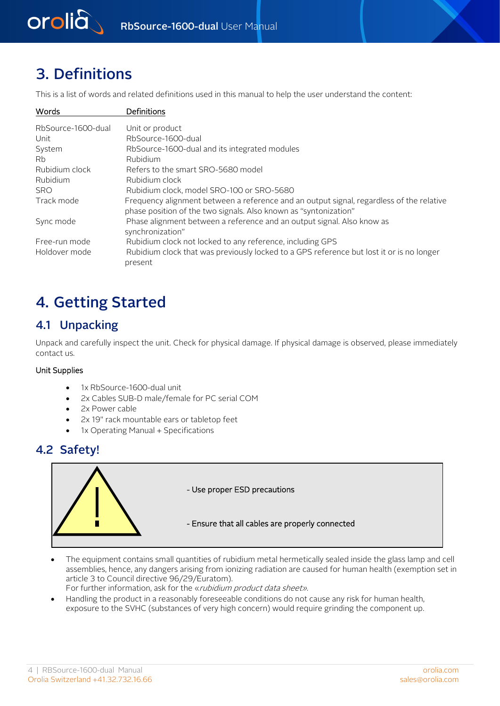<span id="page-3-0"></span>

# 3. Definitions

This is a list of words and related definitions used in this manual to help the user understand the content:

| Words              | Definitions                                                                                                                                                  |
|--------------------|--------------------------------------------------------------------------------------------------------------------------------------------------------------|
| RbSource-1600-dual | Unit or product                                                                                                                                              |
| Unit               | RbSource-1600-dual                                                                                                                                           |
| System             | RbSource-1600-dual and its integrated modules                                                                                                                |
| Rb.                | Rubidium                                                                                                                                                     |
| Rubidium clock     | Refers to the smart SRO-5680 model                                                                                                                           |
| Rubidium           | Rubidium clock                                                                                                                                               |
| <b>SRO</b>         | Rubidium clock, model SRO-100 or SRO-5680                                                                                                                    |
| Track mode         | Frequency alignment between a reference and an output signal, regardless of the relative<br>phase position of the two signals. Also known as "syntonization" |
| Sync mode          | Phase alignment between a reference and an output signal. Also know as<br>synchronization"                                                                   |
| Free-run mode      | Rubidium clock not locked to any reference, including GPS                                                                                                    |
| Holdover mode      | Rubidium clock that was previously locked to a GPS reference but lost it or is no longer<br>present                                                          |

# <span id="page-3-2"></span><span id="page-3-1"></span>4. Getting Started

## 4.1 Unpacking

Unpack and carefully inspect the unit. Check for physical damage. If physical damage is observed, please immediately contact us.

### Unit Supplies

- 1x RbSource-1600-dual unit
- 2x Cables SUB-D male/female for PC serial COM
- <span id="page-3-3"></span>2x Power cable
- 2x 19" rack mountable ears or tabletop feet
- 1x Operating Manual + Specifications

## 4.2 Safety!



- The equipment contains small quantities of rubidium metal hermetically sealed inside the glass lamp and cell assemblies, hence, any dangers arising from ionizing radiation are caused for human health (exemption set in article 3 to Council directive 96/29/Euratom).
	- For further information, ask for the «*rubidium product data sheet*».
- Handling the product in a reasonably foreseeable conditions do not cause any risk for human health, exposure to the SVHC (substances of very high concern) would require grinding the component up.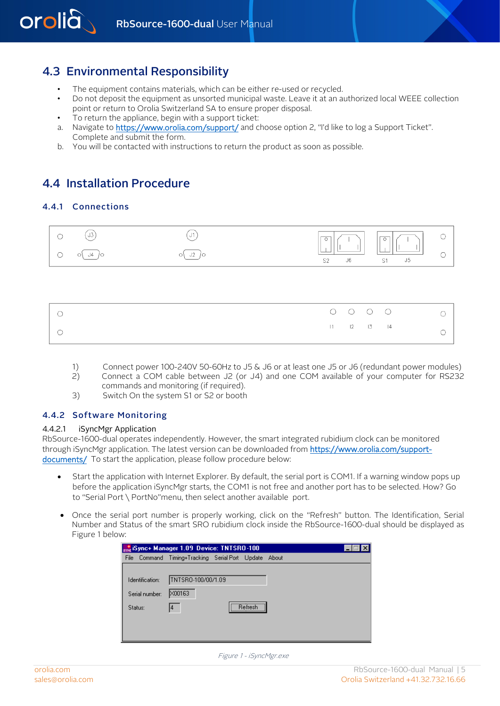

## 4.3 Environmental Responsibility

- The equipment contains materials, which can be either re-used or recycled.
- Do not deposit the equipment as unsorted municipal waste. Leave it at an authorized local WEEE collection point or return to Orolia Switzerland SA to ensure proper disposal.
- <span id="page-4-1"></span>To return the appliance, begin with a support ticket:
- a. Navigate to <https://www.orolia.com/support/> and choose option 2, "I'd like to log a Support Ticket". Complete and submit the form.
- <span id="page-4-2"></span>b. You will be contacted with instructions to return the product as soon as possible.

## 4.4 Installation Procedure

#### 4.4.1 Connections

<span id="page-4-0"></span>orolià



|  |  | $11 \t 12 \t 13 \t 14$ |  |
|--|--|------------------------|--|

- <span id="page-4-3"></span>1) Connect power 100-240V 50-60Hz to J5 & J6 or at least one J5 or J6 (redundant power modules)<br>2) Connect a COM cable between J2 (or J4) and one COM available of your computer for RS232
- 2) Connect a COM cable between J2 (or J4) and one COM available of your computer for RS232 commands and monitoring (if required).
- 3) Switch On the system S1 or S2 or booth

#### 4.4.2 Software Monitoring

#### 4.4.2.1 iSyncMgr Application

RbSource-1600-dual operates independently. However, the smart integrated rubidium clock can be monitored through iSyncMgr application. The latest version can be downloaded from [https://www.orolia.com/support](https://www.orolia.com/support-documents/)[documents/](https://www.orolia.com/support-documents/) To start the application, please follow procedure below:

- Start the application with Internet Explorer. By default, the serial port is COM1. If a warning window pops up before the application iSyncMgr starts, the COM1 is not free and another port has to be selected. How? Go to "Serial Port \ PortNo"menu, then select another available port.
- Once the serial port number is properly working, click on the "Refresh" button. The Identification, Serial Number and Status of the smart SRO rubidium clock inside the RbSource-1600-dual should be displayed as Figure 1 below:

|                 | $\frac{1}{320}$ iSync+ Manager 1.09 Device: TNTSRO-100 |                                                  |  |  |  |  |  |  |
|-----------------|--------------------------------------------------------|--------------------------------------------------|--|--|--|--|--|--|
| File            |                                                        | Command Timing+Tracking Serial Port Update About |  |  |  |  |  |  |
|                 |                                                        |                                                  |  |  |  |  |  |  |
| Identification: |                                                        | TNTSR0-100/00/1.09                               |  |  |  |  |  |  |
| Serial number:  |                                                        | X00163                                           |  |  |  |  |  |  |
| Status:         |                                                        | <br>Befresh<br>14                                |  |  |  |  |  |  |
|                 |                                                        |                                                  |  |  |  |  |  |  |
|                 |                                                        |                                                  |  |  |  |  |  |  |
|                 |                                                        |                                                  |  |  |  |  |  |  |

Figure 1 - iSyncMgr.exe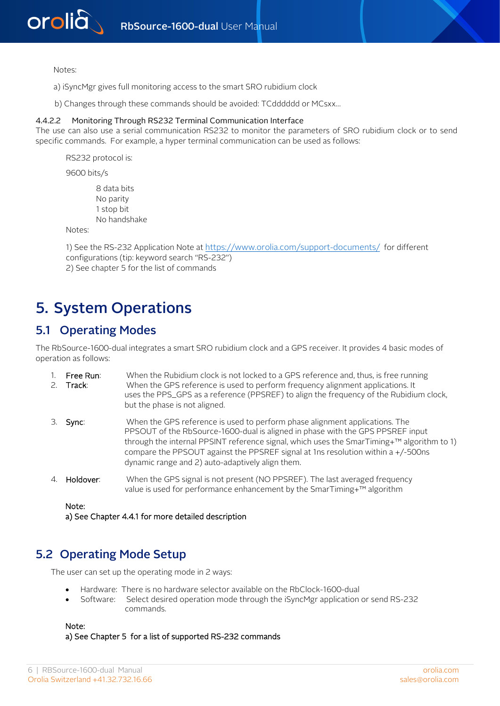

Notes:

- a) iSyncMgr gives full monitoring access to the smart SRO rubidium clock
- b) Changes through these commands should be avoided: TCdddddd or MCsxx…

#### 4.4.2.2 Monitoring Through RS232 Terminal Communication Interface

The use can also use a serial communication RS232 to monitor the parameters of SRO rubidium clock or to send specific commands. For example, a hyper terminal communication can be used as follows:

RS232 protocol is:

9600 bits/s

8 data bits No parity 1 stop bit No handshake

<span id="page-5-0"></span>Notes:

1) See the RS-232 Application Note a[t https://www.orolia.com/support-documents/](https://www.orolia.com/support-documents/) for different configurations (tip: keyword search "RS-232") 2) See chapter 5 for the list of commands

## <span id="page-5-1"></span>5. System Operations

## 5.1 Operating Modes

The RbSource-1600-dual integrates a smart SRO rubidium clock and a GPS receiver. It provides 4 basic modes of operation as follows:

| $1.$ Free Run: | When the Rubidium clock is not locked to a GPS reference and, thus, is free running    |
|----------------|----------------------------------------------------------------------------------------|
| 2. Track:      | When the GPS reference is used to perform frequency alignment applications. It         |
|                | uses the PPS_GPS as a reference (PPSREF) to align the frequency of the Rubidium clock, |
|                | but the phase is not aligned.                                                          |

- 3. Sync: When the GPS reference is used to perform phase alignment applications. The PPSOUT of the RbSource-1600-dual is aligned in phase with the GPS PPSREF input through the internal PPSINT reference signal, which uses the SmarTiming+™ algorithm to 1) compare the PPSOUT against the PPSREF signal at 1ns resolution within a +/-500ns dynamic range and 2) auto-adaptively align them.
- <span id="page-5-2"></span>4. **Holdover:** When the GPS signal is not present (NO PPSREF). The last averaged frequency value is used for performance enhancement by the SmarTiming+™ algorithm

Note:

a) See Chapter 4.4.1 for more detailed description

## 5.2 Operating Mode Setup

The user can set up the operating mode in 2 ways:

- Hardware: There is no hardware selector available on the RbClock-1600-dual
- Software: Select desired operation mode through the iSyncMgr application or send RS-232 commands.

Note:

a) See Chapter 5 for a list of supported RS-232 commands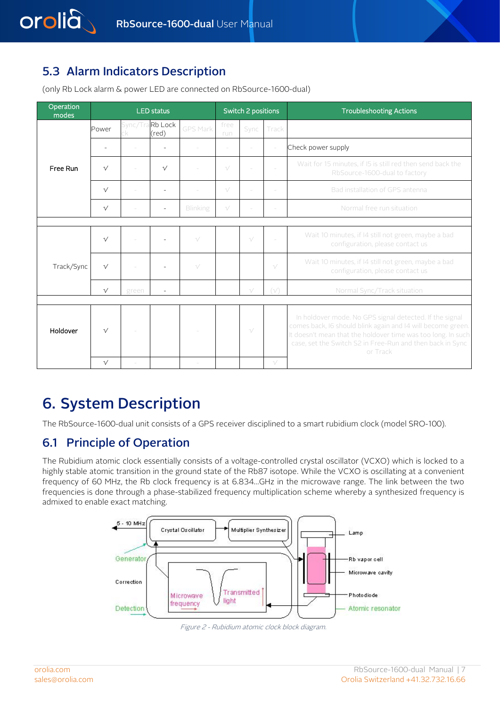## 5.3 Alarm Indicators Description

<span id="page-6-0"></span>orolia

| Operation<br>modes |            |       | <b>LED status</b>        |                 |             | Switch 2 positions |              | <b>Troubleshooting Actions</b>                                                                                                                                                                                                                                  |
|--------------------|------------|-------|--------------------------|-----------------|-------------|--------------------|--------------|-----------------------------------------------------------------------------------------------------------------------------------------------------------------------------------------------------------------------------------------------------------------|
|                    | Power      |       | Sync/TraRb Lock<br>(red) | <b>GPS Mark</b> | free<br>run | Sync               | Track        |                                                                                                                                                                                                                                                                 |
|                    |            |       |                          |                 | $\sim$      | ÷                  |              | Check power supply                                                                                                                                                                                                                                              |
| Free Run           | $\sqrt{ }$ |       | $\sqrt{ }$               |                 | $\sqrt{}$   |                    |              | Wait for 15 minutes, if I5 is still red then send back the<br>RbSource-1600-dual to factory                                                                                                                                                                     |
|                    | $\sqrt{ }$ |       |                          |                 | $\sqrt{}$   |                    |              | Bad installation of GPS antenna                                                                                                                                                                                                                                 |
|                    | $\sqrt{ }$ |       |                          | Blinking        | $\sqrt{}$   |                    |              | Normal free run situation                                                                                                                                                                                                                                       |
|                    |            |       |                          |                 |             |                    |              |                                                                                                                                                                                                                                                                 |
|                    | $\sqrt{ }$ |       |                          | $\sqrt{}$       |             | $\sqrt{}$          |              | Wait 10 minutes, if I4 still not green, maybe a bad<br>configuration, please contact us                                                                                                                                                                         |
| Track/Sync         | $\sqrt{ }$ |       |                          | $\sqrt{}$       |             |                    | $\sqrt{}$    | Wait 10 minutes, if I4 still not green, maybe a bad<br>configuration, please contact us                                                                                                                                                                         |
|                    | $\sqrt{ }$ | green |                          |                 |             | $\sqrt{}$          | $(\sqrt{2})$ | Normal Sync/Track situation                                                                                                                                                                                                                                     |
|                    |            |       |                          |                 |             |                    |              |                                                                                                                                                                                                                                                                 |
| Holdover           | $\sqrt{ }$ |       |                          |                 |             | V                  |              | In holdover mode. No GPS signal detected. If the signal<br>comes back, I6 should blink again and I4 will become green.<br>It doesn't mean that the holdover time was too long. In such<br>case, set the Switch S2 in Free-Run and then back in Sync<br>or Track |
|                    | $\sqrt{ }$ |       |                          |                 |             |                    | $\sqrt{}$    |                                                                                                                                                                                                                                                                 |

(only Rb Lock alarm & power LED are connected on RbSource-1600-dual)

# <span id="page-6-2"></span><span id="page-6-1"></span>6. System Description

The RbSource-1600-dual unit consists of a GPS receiver disciplined to a smart rubidium clock (model SRO-100).

## 6.1 Principle of Operation

The Rubidium atomic clock essentially consists of a voltage-controlled crystal oscillator (VCXO) which is locked to a highly stable atomic transition in the ground state of the Rb87 isotope. While the VCXO is oscillating at a convenient frequency of 60 MHz, the Rb clock frequency is at 6.834…GHz in the microwave range. The link between the two frequencies is done through a phase-stabilized frequency multiplication scheme whereby a synthesized frequency is admixed to enable exact matching.



Figure 2 - Rubidium atomic clock block diagram.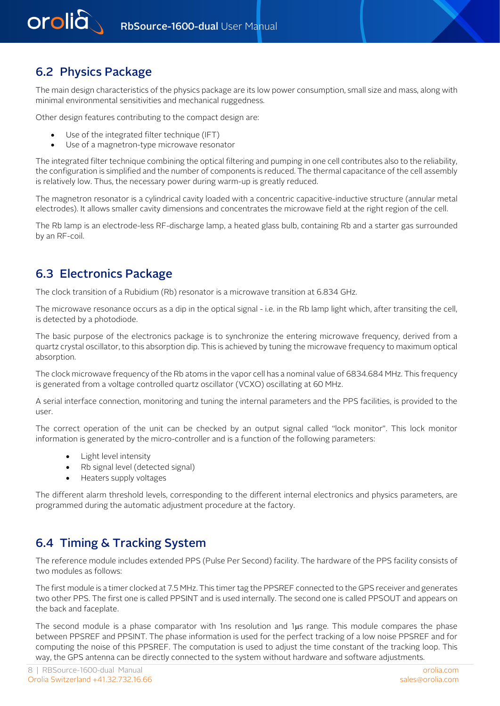<span id="page-7-0"></span>

## 6.2 Physics Package

The main design characteristics of the physics package are its low power consumption, small size and mass, along with minimal environmental sensitivities and mechanical ruggedness.

Other design features contributing to the compact design are:

- Use of the integrated filter technique (IFT)
- Use of a magnetron-type microwave resonator

The integrated filter technique combining the optical filtering and pumping in one cell contributes also to the reliability, the configuration is simplified and the number of components is reduced. The thermal capacitance of the cell assembly is relatively low. Thus, the necessary power during warm-up is greatly reduced.

<span id="page-7-1"></span>The magnetron resonator is a cylindrical cavity loaded with a concentric capacitive-inductive structure (annular metal electrodes). It allows smaller cavity dimensions and concentrates the microwave field at the right region of the cell.

The Rb lamp is an electrode-less RF-discharge lamp, a heated glass bulb, containing Rb and a starter gas surrounded by an RF-coil.

## 6.3 Electronics Package

The clock transition of a Rubidium (Rb) resonator is a microwave transition at 6.834 GHz.

The microwave resonance occurs as a dip in the optical signal - i.e. in the Rb lamp light which, after transiting the cell, is detected by a photodiode.

The basic purpose of the electronics package is to synchronize the entering microwave frequency, derived from a quartz crystal oscillator, to this absorption dip. This is achieved by tuning the microwave frequency to maximum optical absorption.

The clock microwave frequency of the Rb atoms in the vapor cell has a nominal value of 6834.684 MHz. This frequency is generated from a voltage controlled quartz oscillator (VCXO) oscillating at 60 MHz.

A serial interface connection, monitoring and tuning the internal parameters and the PPS facilities, is provided to the user.

The correct operation of the unit can be checked by an output signal called "lock monitor". This lock monitor information is generated by the micro-controller and is a function of the following parameters:

- Light level intensity
- Rb signal level (detected signal)
- Heaters supply voltages

<span id="page-7-2"></span>The different alarm threshold levels, corresponding to the different internal electronics and physics parameters, are programmed during the automatic adjustment procedure at the factory.

## 6.4 Timing & Tracking System

The reference module includes extended PPS (Pulse Per Second) facility. The hardware of the PPS facility consists of two modules as follows:

The first module is a timer clocked at 7.5 MHz. This timer tag the PPSREF connected to the GPS receiver and generates two other PPS. The first one is called PPSINT and is used internally. The second one is called PPSOUT and appears on the back and faceplate.

The second module is a phase comparator with 1ns resolution and  $1\mu s$  range. This module compares the phase between PPSREF and PPSINT. The phase information is used for the perfect tracking of a low noise PPSREF and for computing the noise of this PPSREF. The computation is used to adjust the time constant of the tracking loop. This way, the GPS antenna can be directly connected to the system without hardware and software adjustments.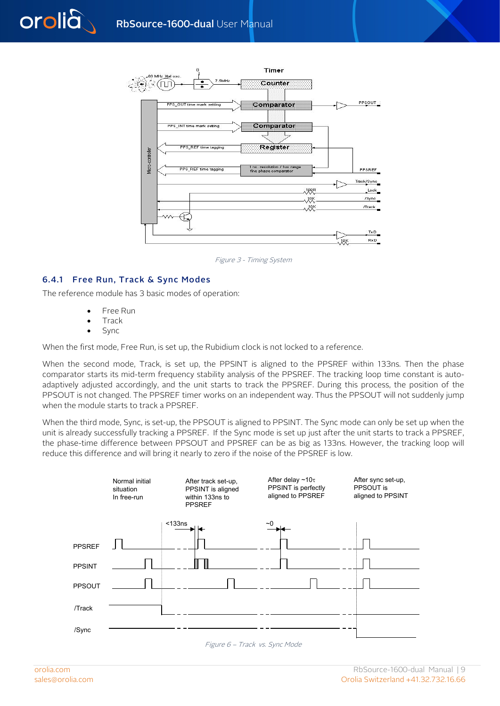

Figure 3 - Timing System

## <span id="page-8-0"></span>6.4.1 Free Run, Track & Sync Modes

The reference module has 3 basic modes of operation:

- Free Run
- Track
- Sync

orolia

When the first mode, Free Run, is set up, the Rubidium clock is not locked to a reference.

When the second mode, Track, is set up, the PPSINT is aligned to the PPSREF within 133ns. Then the phase comparator starts its mid-term frequency stability analysis of the PPSREF. The tracking loop time constant is autoadaptively adjusted accordingly, and the unit starts to track the PPSREF. During this process, the position of the PPSOUT is not changed. The PPSREF timer works on an independent way. Thus the PPSOUT will not suddenly jump when the module starts to track a PPSREF.

When the third mode, Sync, is set-up, the PPSOUT is aligned to PPSINT. The Sync mode can only be set up when the unit is already successfully tracking a PPSREF. If the Sync mode is set up just after the unit starts to track a PPSREF, the phase-time difference between PPSOUT and PPSREF can be as big as 133ns. However, the tracking loop will reduce this difference and will bring it nearly to zero if the noise of the PPSREF is low.



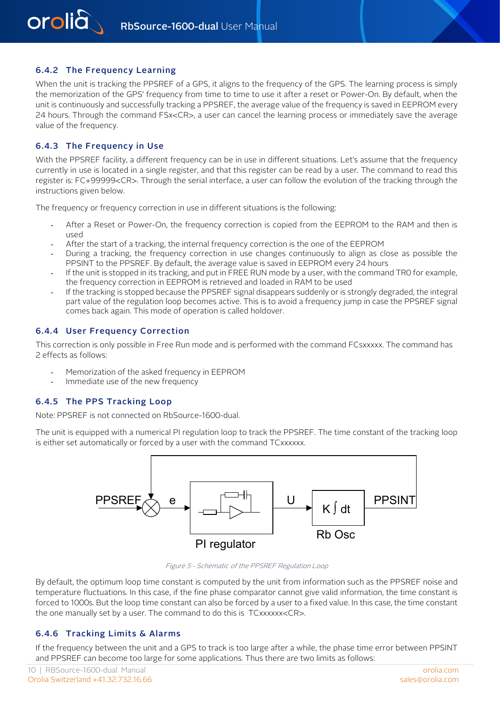## <span id="page-9-0"></span>6.4.2 The Frequency Learning

<span id="page-9-1"></span>When the unit is tracking the PPSREF of a GPS, it aligns to the frequency of the GPS. The learning process is simply the memorization of the GPS' frequency from time to time to use it after a reset or Power-On. By default, when the unit is continuously and successfully tracking a PPSREF, the average value of the frequency is saved in EEPROM every 24 hours. Through the command FSx<CR>, a user can cancel the learning process or immediately save the average value of the frequency.

#### 6.4.3 The Frequency in Use

With the PPSREF facility, a different frequency can be in use in different situations. Let's assume that the frequency currently in use is located in a single register, and that this register can be read by a user. The command to read this register is: FC+99999<CR>. Through the serial interface, a user can follow the evolution of the tracking through the instructions given below.

The frequency or frequency correction in use in different situations is the following:

- After a Reset or Power-On, the frequency correction is copied from the EEPROM to the RAM and then is used
- After the start of a tracking, the internal frequency correction is the one of the EEPROM
- During a tracking, the frequency correction in use changes continuously to align as close as possible the PPSINT to the PPSREF. By default, the average value is saved in EEPROM every 24 hours
- <span id="page-9-2"></span>If the unit is stopped in its tracking, and put in FREE RUN mode by a user, with the command TRO for example, the frequency correction in EEPROM is retrieved and loaded in RAM to be used
- If the tracking is stopped because the PPSREF signal disappears suddenly or is strongly degraded, the integral part value of the regulation loop becomes active. This is to avoid a frequency jump in case the PPSREF signal comes back again. This mode of operation is called holdover.

#### 6.4.4 User Frequency Correction

<span id="page-9-3"></span>This correction is only possible in Free Run mode and is performed with the command FCsxxxxx. The command has 2 effects as follows:

- Memorization of the asked frequency in EEPROM
- Immediate use of the new frequency

#### 6.4.5 The PPS Tracking Loop

Note: PPSREF is not connected on RbSource-1600-dual.

The unit is equipped with a numerical PI regulation loop to track the PPSREF. The time constant of the tracking loop is either set automatically or forced by a user with the command TCxxxxxx.



Figure 5 - Schematic of the PPSREF Regulation Loop

<span id="page-9-4"></span>By default, the optimum loop time constant is computed by the unit from information such as the PPSREF noise and temperature fluctuations. In this case, if the fine phase comparator cannot give valid information, the time constant is forced to 1000s. But the loop time constant can also be forced by a user to a fixed value. In this case, the time constant the one manually set by a user. The command to do this is TCxxxxxx<CR>.

#### 6.4.6 Tracking Limits & Alarms

If the frequency between the unit and a GPS to track is too large after a while, the phase time error between PPSINT and PPSREF can become too large for some applications. Thus there are two limits as follows: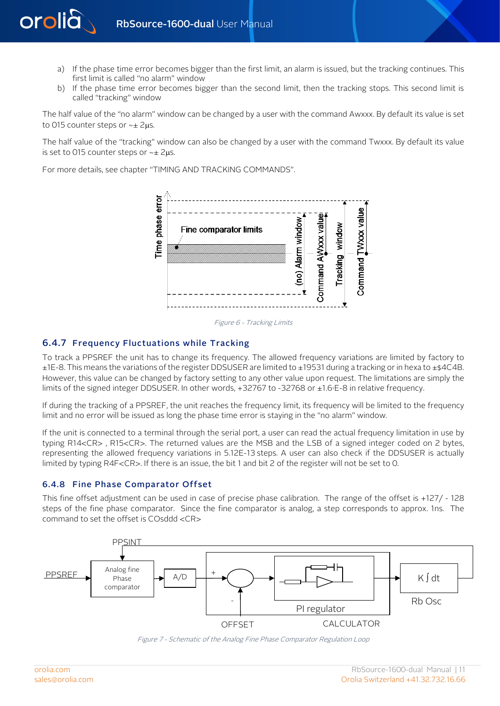- a) If the phase time error becomes bigger than the first limit, an alarm is issued, but the tracking continues. This first limit is called "no alarm" window
- b) If the phase time error becomes bigger than the second limit, then the tracking stops. This second limit is called "tracking" window

The half value of the "no alarm" window can be changed by a user with the command Awxxx. By default its value is set to 015 counter steps or ~± 2µs.

The half value of the "tracking" window can also be changed by a user with the command Twxxx. By default its value is set to 015 counter steps or ~± 2µs.

For more details, see chapter "TIMING AND TRACKING COMMANDS".





### <span id="page-10-0"></span>6.4.7 Frequency Fluctuations while Tracking

To track a PPSREF the unit has to change its frequency. The allowed frequency variations are limited by factory to ±1E-8. This means the variations of the register DDSUSER are limited to ±19531 during a tracking or in hexa to ±\$4C4B. However, this value can be changed by factory setting to any other value upon request. The limitations are simply the limits of the signed integer DDSUSER. In other words, +32767 to -32768 or ±1.6∙E-8 in relative frequency.

If during the tracking of a PPSREF, the unit reaches the frequency limit, its frequency will be limited to the frequency limit and no error will be issued as long the phase time error is staying in the "no alarm" window.

<span id="page-10-1"></span>If the unit is connected to a terminal through the serial port, a user can read the actual frequency limitation in use by typing R14<CR> , R15<CR>. The returned values are the MSB and the LSB of a signed integer coded on 2 bytes, representing the allowed frequency variations in 5.12E-13 steps. A user can also check if the DDSUSER is actually limited by typing R4F<CR>. If there is an issue, the bit 1 and bit 2 of the register will not be set to 0.

#### 6.4.8 Fine Phase Comparator Offset

This fine offset adjustment can be used in case of precise phase calibration. The range of the offset is +127/ - 128 steps of the fine phase comparator. Since the fine comparator is analog, a step corresponds to approx. 1ns. The command to set the offset is COsddd <CR>





orolià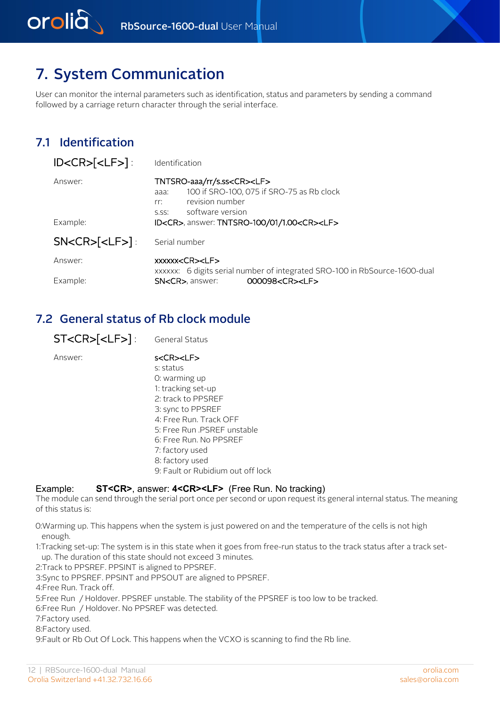

# <span id="page-11-1"></span>7. System Communication

User can monitor the internal parameters such as identification, status and parameters by sending a command followed by a carriage return character through the serial interface.

## 7.1 Identification

<span id="page-11-0"></span>orolià

| ID < CR > < LF >     | Identification                                                                                                                                                        |
|----------------------|-----------------------------------------------------------------------------------------------------------------------------------------------------------------------|
| Answer:              | TNTSRO-aaa/rr/s.ss <cr><lf><br/>100 if SRO-100, 075 if SRO-75 as Rb clock<br/>aaa:<br/>revision number<br/>rr:<br/>software version<br/><math>S.S.S</math>:</lf></cr> |
| Example:             | ID <cr>, answer: TNTSRO-100/01/1.00<cr><lf></lf></cr></cr>                                                                                                            |
| $SN < CR > [-LF > ]$ | Serial number                                                                                                                                                         |
| Answer:              | xxxxx <cr><lf><br/>xxxxxx: 6 digits serial number of integrated SRO-100 in RbSource-1600-dual</lf></cr>                                                               |
| Example:             | 000098 <cr><lf><br/><b>SN<cr></cr></b> answer:</lf></cr>                                                                                                              |

## <span id="page-11-2"></span>7.2 General status of Rb clock module

| <b>ST<cr>[<lf>]</lf></cr></b> : | General Status                                                                                                                                                                                                                                                                                               |
|---------------------------------|--------------------------------------------------------------------------------------------------------------------------------------------------------------------------------------------------------------------------------------------------------------------------------------------------------------|
| Answer:                         | $s <$ CR $>$ <lf<math>&gt;<br/>s: status<br/>O: warming up<br/>1: tracking set-up<br/>2: track to PPSRFF<br/>3: sync to PPSREF<br/>4: Free Run, Track OFF<br/>5: Free Run .PSREF unstable<br/>6: Free Run, No PPSREF<br/>7: factory used<br/>8: factory used<br/>9: Fault or Rubidium out off lock</lf<math> |
|                                 |                                                                                                                                                                                                                                                                                                              |

### Example: **ST<CR>**, answer: **4<CR><LF>** (Free Run. No tracking)

The module can send through the serial port once per second or upon request its general internal status. The meaning of this status is:

0:Warming up. This happens when the system is just powered on and the temperature of the cells is not high enough.

1:Tracking set-up: The system is in this state when it goes from free-run status to the track status after a track setup. The duration of this state should not exceed 3 minutes.

2:Track to PPSREF. PPSINT is aligned to PPSREF.

3:Sync to PPSREF. PPSINT and PPSOUT are aligned to PPSREF.

4:Free Run. Track off.

5:Free Run / Holdover. PPSREF unstable. The stability of the PPSREF is too low to be tracked.

6:Free Run / Holdover. No PPSREF was detected.

7:Factory used.

8:Factory used.

9:Fault or Rb Out Of Lock. This happens when the VCXO is scanning to find the Rb line.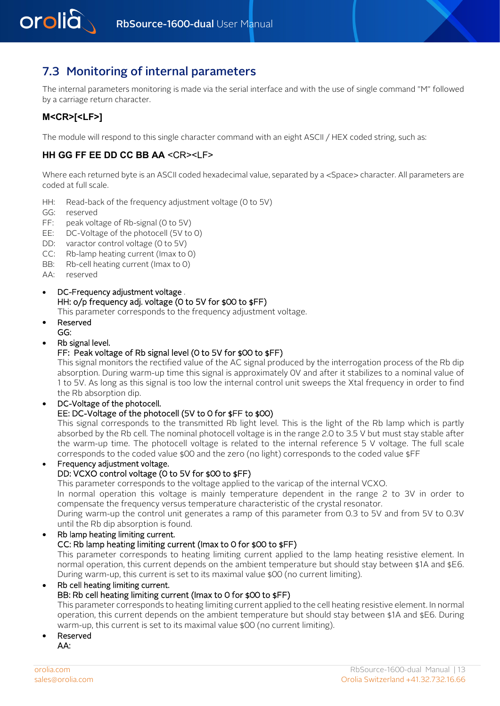<span id="page-12-0"></span>

## 7.3 Monitoring of internal parameters

The internal parameters monitoring is made via the serial interface and with the use of single command "M" followed by a carriage return character.

## **M<CR>[<LF>]**

The module will respond to this single character command with an eight ASCII / HEX coded string, such as:

## **HH GG FF EE DD CC BB AA** <CR><LF>

Where each returned byte is an ASCII coded hexadecimal value, separated by a <Space> character. All parameters are coded at full scale.

- HH: Read-back of the frequency adjustment voltage (0 to 5V)
- GG: reserved
- FF: peak voltage of Rb-signal (0 to 5V)
- EE: DC-Voltage of the photocell (5V to 0)
- DD: varactor control voltage (0 to 5V)
- CC: Rb-lamp heating current (Imax to 0)
- BB: Rb-cell heating current (Imax to 0)

AA: reserved

• DC-Frequency adjustment voltage . HH: o/p frequency adj. voltage (0 to 5V for \$00 to \$FF)

This parameter corresponds to the frequency adjustment voltage.

- Reserved GG:
- Rb signal level.

## FF: Peak voltage of Rb signal level (0 to 5V for \$00 to \$FF)

This signal monitors the rectified value of the AC signal produced by the interrogation process of the Rb dip absorption. During warm-up time this signal is approximately 0V and after it stabilizes to a nominal value of 1 to 5V. As long as this signal is too low the internal control unit sweeps the Xtal frequency in order to find the Rb absorption dip.

## DC-Voltage of the photocell. EE: DC-Voltage of the photocell (5V to 0 for \$FF to \$00)

This signal corresponds to the transmitted Rb light level. This is the light of the Rb lamp which is partly absorbed by the Rb cell. The nominal photocell voltage is in the range 2.0 to 3.5 V but must stay stable after the warm-up time. The photocell voltage is related to the internal reference 5 V voltage. The full scale corresponds to the coded value \$00 and the zero (no light) corresponds to the coded value \$FF

• Frequency adjustment voltage.

### DD: VCXO control voltage (0 to 5V for \$00 to \$FF)

This parameter corresponds to the voltage applied to the varicap of the internal VCXO.

In normal operation this voltage is mainly temperature dependent in the range 2 to 3V in order to compensate the frequency versus temperature characteristic of the crystal resonator.

During warm-up the control unit generates a ramp of this parameter from 0.3 to 5V and from 5V to 0.3V until the Rb dip absorption is found.

#### • Rb lamp heating limiting current. CC: Rb lamp heating limiting current (Imax to 0 for \$00 to \$FF)

This parameter corresponds to heating limiting current applied to the lamp heating resistive element. In normal operation, this current depends on the ambient temperature but should stay between \$1A and \$E6. During warm-up, this current is set to its maximal value \$00 (no current limiting).

#### • Rb cell heating limiting current.

## BB: Rb cell heating limiting current (Imax to 0 for \$00 to \$FF)

This parameter corresponds to heating limiting current applied to the cell heating resistive element. In normal operation, this current depends on the ambient temperature but should stay between \$1A and \$E6. During warm-up, this current is set to its maximal value \$00 (no current limiting).

• Reserved AA: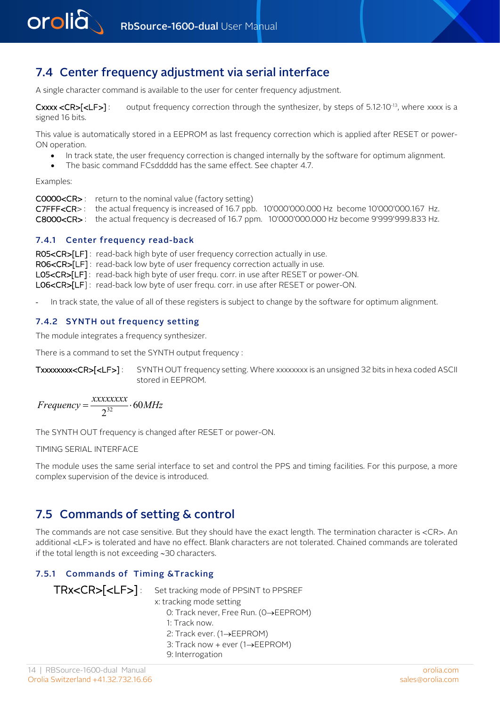<span id="page-13-0"></span>

## 7.4 Center frequency adjustment via serial interface

A single character command is available to the user for center frequency adjustment.

Cxxx <CR> $[**LE**]$ : output frequency correction through the synthesizer, by steps of 5.12·10<sup>-13</sup>, where xxxx is a signed 16 bits.

This value is automatically stored in a EEPROM as last frequency correction which is applied after RESET or power-ON operation.

- In track state, the user frequency correction is changed internally by the software for optimum alignment.
- The basic command FCsddddd has the same effect. See chapter 4.7.

Examples:

<span id="page-13-1"></span>C0000<CR> : return to the nominal value (factory setting) C7FFF<CR> : the actual frequency is increased of 16.7 ppb. 10'000'000.000 Hz become 10'000'000.167 Hz. C8000<CR> : the actual frequency is decreased of 16.7 ppm. 10'000'000.000 Hz become 9'999'999.833 Hz.

#### 7.4.1 Center frequency read-back

<span id="page-13-2"></span>RO5<CR>[LF]: read-back high byte of user frequency correction actually in use. RO6<CR>[LF]: read-back low byte of user frequency correction actually in use. L05<CR>[LF] : read-back high byte of user frequ. corr. in use after RESET or power-ON. L06<CR>[LF] : read-back low byte of user frequ. corr. in use after RESET or power-ON.

In track state, the value of all of these registers is subject to change by the software for optimum alignment.

### 7.4.2 SYNTH out frequency setting

The module integrates a frequency synthesizer.

There is a command to set the SYNTH output frequency :

Txxxxxxx<CR>[<LF>]: SYNTH OUT frequency setting. Where xxxxxxxx is an unsigned 32 bits in hexa coded ASCII stored in EEPROM.

$$
Frequency = \frac{xxxxxxxx}{2^{32}} \cdot 60MHz
$$

The SYNTH OUT frequency is changed after RESET or power-ON.

<span id="page-13-3"></span>TIMING SERIAL INTERFACE

The module uses the same serial interface to set and control the PPS and timing facilities. For this purpose, a more complex supervision of the device is introduced.

## 7.5 Commands of setting & control

<span id="page-13-4"></span>The commands are not case sensitive. But they should have the exact length. The termination character is <CR>. An additional <LF> is tolerated and have no effect. Blank characters are not tolerated. Chained commands are tolerated if the total length is not exceeding ∼30 characters.

## 7.5.1 Commands of Timing &Tracking

| TRX <cr>[<lf>]: Set tracking mode of PPSINT to PPSREF</lf></cr> |
|-----------------------------------------------------------------|
| x: tracking mode setting                                        |
| O: Track never, Free Run. (0→EEPROM)                            |
| 1: Track now.                                                   |
| 2: Track ever. $(1 \rightarrow EEPROM)$                         |
|                                                                 |

- 3: Track now + ever (1→EEPROM)
- 9: Interrogation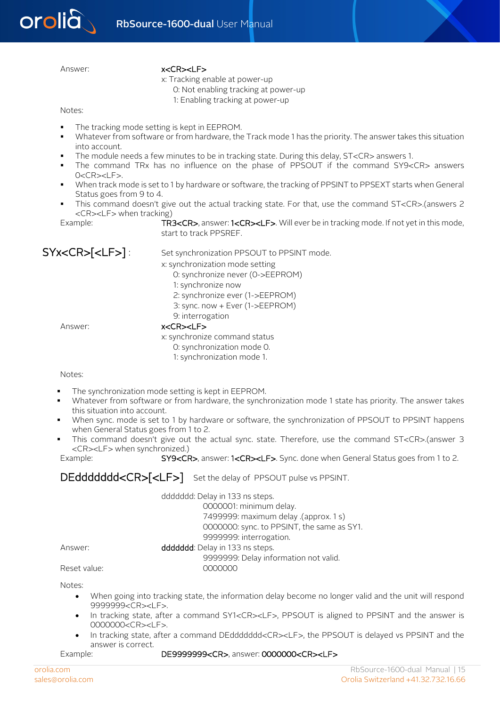

#### Answer: x<CR><LF>

x: Tracking enable at power-up

0: Not enabling tracking at power-up

1: Enabling tracking at power-up

Notes:

- The tracking mode setting is kept in EEPROM.
- Whatever from software or from hardware, the Track mode 1 has the priority. The answer takes this situation into account.
- The module needs a few minutes to be in tracking state. During this delay, ST<CR> answers 1.
- The command TRx has no influence on the phase of PPSOUT if the command SY9<CR> answers 0<CR><LF>.
- When track mode is set to 1 by hardware or software, the tracking of PPSINT to PPSEXT starts when General Status goes from 9 to 4.
- This command doesn't give out the actual tracking state. For that, use the command ST<CR>.(answers 2 <CR><LF> when tracking)

Example: TR3<CR>, answer: 1<CR><LF>. Will ever be in tracking mode. If not yet in this mode, start to track PPSREF.

SYX<CR>[<LF>]: Set synchronization PPSOUT to PPSINT mode.

- x: synchronization mode setting
	- 0: synchronize never (0->EEPROM)
	- 1: synchronize now
	- 2: synchronize ever (1->EEPROM)
	- 3: sync. now + Ever (1->EEPROM)
	- 9: interrogation

Answer: x<CR><LF>

x: synchronize command status 0: synchronization mode 0. 1: synchronization mode 1.

Notes:

- The synchronization mode setting is kept in EEPROM.
- Whatever from software or from hardware, the synchronization mode 1 state has priority. The answer takes this situation into account.
- When sync. mode is set to 1 by hardware or software, the synchronization of PPSOUT to PPSINT happens when General Status goes from 1 to 2.
- This command doesn't give out the actual sync. state. Therefore, use the command ST<CR>.(answer 3 <CR><LF> when synchronized.)

Example: SY9<CR>, answer: 1<CR><LF>. Sync. done when General Status goes from 1 to 2.

DEddddddd<CR>[<LF>] Set the delay of PPSOUT pulse vs PPSINT.

|              | dddddd: Delay in 133 ns steps.             |  |
|--------------|--------------------------------------------|--|
|              | 0000001: minimum delay.                    |  |
|              | 7499999: maximum delay .(approx. 1 s)      |  |
|              | 0000000: sync. to PPSINT, the same as SY1. |  |
|              | 9999999: interrogation.                    |  |
| Answer:      | dddddd: Delay in 133 ns steps.             |  |
|              | 9999999: Delay information not valid.      |  |
| Reset value: | 0000000                                    |  |

Notes:

- When going into tracking state, the information delay become no longer valid and the unit will respond 9999999<CR><LF>.
- In tracking state, after a command SY1<CR><LF>, PPSOUT is aligned to PPSINT and the answer is 0000000<CR><LF>.
- In tracking state, after a command DEddddddd<CR><LF>, the PPSOUT is delayed vs PPSINT and the answer is correct.

Example: DE9999999<CR>, answer: 0000000<CR><LF>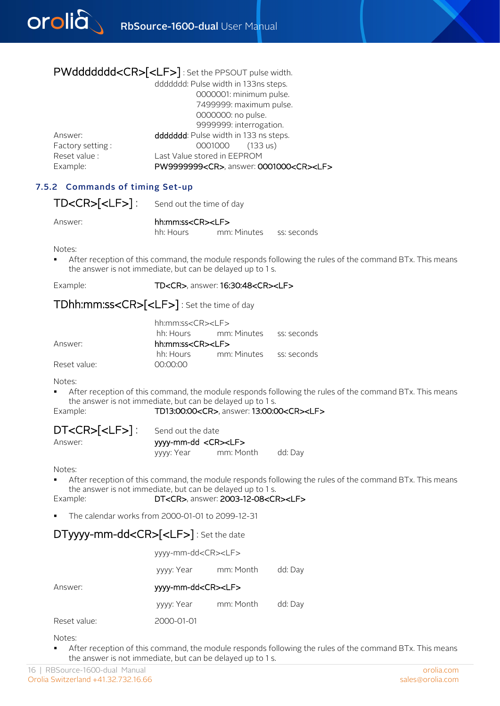

## PWddddddd<CR>[<LF>] : Set the PPSOUT pulse width.

|                  | dddddd: Pulse width in 133ns steps.                    |
|------------------|--------------------------------------------------------|
|                  | 0000001: minimum pulse.                                |
|                  | 7499999: maximum pulse.                                |
|                  | 0000000: no pulse.                                     |
|                  | 9999999: interrogation.                                |
| Answer:          | dddddd: Pulse width in 133 ns steps.                   |
| Factory setting: | 0001000<br>$(133 \text{ us})$                          |
| Reset value :    | Last Value stored in EEPROM                            |
| Example:         | PW9999999 <cr>, answer: 0001000<cr><lf></lf></cr></cr> |
|                  |                                                        |

## <span id="page-15-0"></span>7.5.2 Commands of timing Set-up

TD<CR>[<LF>]: Send out the time of day

Answer: hh:mm:ss<CR><LF>

hh: Hours mm: Minutes ss: seconds

Notes:

 After reception of this command, the module responds following the rules of the command BTx. This means the answer is not immediate, but can be delayed up to 1 s.

Example: TD<CR>, answer: 16:30:48<CR><LF>

## TDhh:mm:ss<CR>[<LF>] : Set the time of day

| 00:00:00 |                                                                                                                                        |
|----------|----------------------------------------------------------------------------------------------------------------------------------------|
|          | hh:mm:ss <cr><lf><br/>hh: Hours mm: Minutes ss: seconds<br/>hh:mm:ss<cr><lf><br/>hh: Hours mm: Minutes ss: seconds</lf></cr></lf></cr> |

Notes:

 After reception of this command, the module responds following the rules of the command BTx. This means the answer is not immediate, but can be delayed up to 1 s.

#### Example: TD13:00:00<CR>, answer: 13:00:00<CR><LF>

| DT <cr>[<lf>]:</lf></cr> |  |
|--------------------------|--|
| $\mathbf{A}$             |  |

Send out the date Answer: yyyy-mm-dd <CR><LF> yyyy: Year mm: Month dd: Day

Notes:

 After reception of this command, the module responds following the rules of the command BTx. This means the answer is not immediate, but can be delayed up to 1 s.<br>DT<CR>, answer: 2003-12-08<CI

DT<CR>, answer: 2003-12-08<CR><LF>

The calendar works from 2000-01-01 to 2099-12-31

## DTyyyy-mm-dd<CR>[<LF>] : Set the date

|              | yyyy-mm-dd <cr><lf></lf></cr> |                               |         |  |  |
|--------------|-------------------------------|-------------------------------|---------|--|--|
|              | yyyy: Year                    | mm: Month                     | dd: Day |  |  |
| Answer:      |                               | yyyy-mm-dd <cr><lf></lf></cr> |         |  |  |
|              | yyyy: Year                    | mm: Month                     | dd: Day |  |  |
| Reset value: | 2000-01-01                    |                               |         |  |  |

Notes:

 After reception of this command, the module responds following the rules of the command BTx. This means the answer is not immediate, but can be delayed up to 1 s.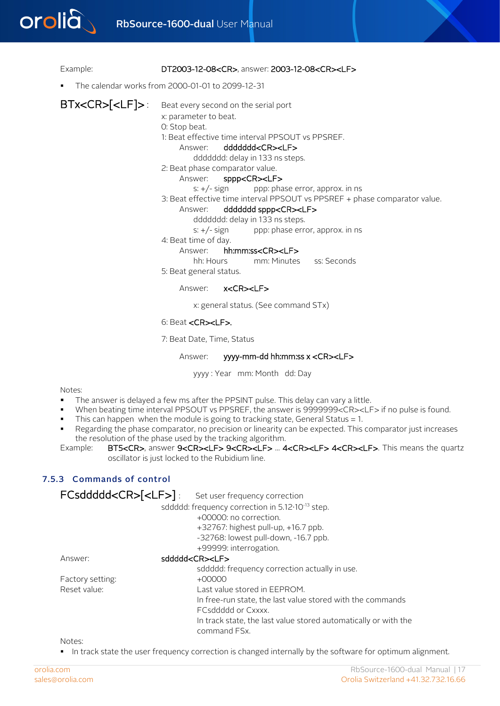

#### Example: DT2003-12-08<CR>, answer: 2003-12-08<CR><LF>

The calendar works from 2000-01-01 to 2099-12-31

BTx<CR> $[$ <LF]>: Beat every second on the serial port x: parameter to beat. 0: Stop beat. 1: Beat effective time interval PPSOUT vs PPSREF. Answer: ddddddd<CR><LF> ddddddd: delay in 133 ns steps. 2: Beat phase comparator value. Answer: sppp<CR><LF>  $s: +/-$  sign ppp: phase error, approx. in ns 3: Beat effective time interval PPSOUT vs PPSREF + phase comparator value. Answer: ddddddd sppp<CR><LF> ddddddd: delay in 133 ns steps.

 $s: +/-$  sign ppp: phase error, approx. in ns

4: Beat time of day.

Answer: hh:mm:ss<CR><LF>

hh: Hours mm: Minutes ss: Seconds

5: Beat general status.

Answer: x<CR><LF>

x: general status. (See command STx)

#### 6: Beat <CR><LF>.

7: Beat Date, Time, Status

#### Answer: yyyy-mm-dd hh:mm:ss x <CR><LF>

yyyy : Year mm: Month dd: Day

Notes:

- The answer is delayed a few ms after the PPSINT pulse. This delay can vary a little.
- When beating time interval PPSOUT vs PPSREF, the answer is 9999999<CR><LF> if no pulse is found.
- This can happen when the module is going to tracking state, General Status  $= 1$ .
- <span id="page-16-0"></span> Regarding the phase comparator, no precision or linearity can be expected. This comparator just increases the resolution of the phase used by the tracking algorithm.<br>Example: BT5<CR>. answer 9<CR><LF> 9<CR><LF> ... 4
- BT5<CR>, answer 9<CR><LF> 9<CR><LF> ... 4<CR><LF> 4<CR><LF>. This means the quartz oscillator is just locked to the Rubidium line.

## 7.5.3 Commands of control

| FCsddddd <cr>[<lf>]</lf></cr> | Set user frequency correction                                   |
|-------------------------------|-----------------------------------------------------------------|
|                               | sddddd: frequency correction in 5.12.10-13 step.                |
|                               | +00000: no correction.                                          |
|                               | $+32767$ : highest pull-up, $+16.7$ ppb.                        |
|                               | -32768: lowest pull-down, -16.7 ppb.                            |
|                               | +99999: interrogation.                                          |
| Answer:                       | sddddd <cr><lf></lf></cr>                                       |
|                               | sddddd: frequency correction actually in use.                   |
| Factory setting:              | $+00000$                                                        |
| Reset value:                  | Last value stored in EEPROM.                                    |
|                               | In free-run state, the last value stored with the commands      |
|                               | <b>FCsddddd or Cxxxx.</b>                                       |
|                               | In track state, the last value stored automatically or with the |
|                               | command FSx.                                                    |

Notes:

In track state the user frequency correction is changed internally by the software for optimum alignment.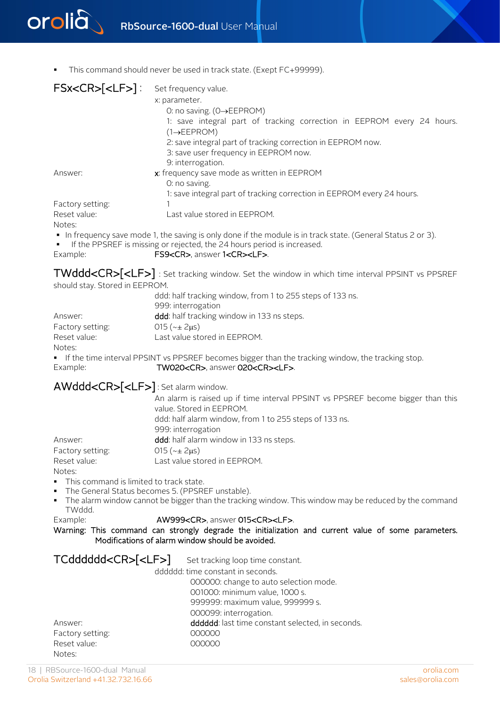

This command should never be used in track state. (Exept FC+99999).

| FSx <cr>[<lf>]: Set frequency value.</lf></cr> | x: parameter.<br>0: no saving. $(O \rightarrow EEPROM)$<br>1: save integral part of tracking correction in EEPROM every 24 hours.<br>$(1 \rightarrow EEPROM)$<br>2: save integral part of tracking correction in EEPROM now.<br>3: save user frequency in EEPROM now.<br>9: interrogation. |
|------------------------------------------------|--------------------------------------------------------------------------------------------------------------------------------------------------------------------------------------------------------------------------------------------------------------------------------------------|
| Answer:                                        | x: frequency save mode as written in EEPROM<br>0: no saving.<br>1: save integral part of tracking correction in EEPROM every 24 hours.                                                                                                                                                     |
| Factory setting:                               |                                                                                                                                                                                                                                                                                            |
| Reset value:<br>Notes:                         | Last value stored in EEPROM.                                                                                                                                                                                                                                                               |

- In frequency save mode 1, the saving is only done if the module is in track state. (General Status 2 or 3).
- If the PPSREF is missing or rejected, the 24 hours period is increased.

Example: FS9<CR>, answer 1<CR><LF>.

TWddd<CR>[<LF>] : Set tracking window. Set the window in which time interval PPSINT vs PPSREF should stay. Stored in EEPROM.

|                  | ddd: half tracking window, from 1 to 255 steps of 133 ns. |
|------------------|-----------------------------------------------------------|
|                  | 999: interrogation                                        |
| Answer:          | <b>ddd</b> : half tracking window in 133 ns steps.        |
| Factory setting: | $015$ ( $\sim\pm$ 2us)                                    |
| Reset value:     | Last value stored in EEPROM.                              |
| Notes:           |                                                           |

If the time interval PPSINT vs PPSREF becomes bigger than the tracking window, the tracking stop.<br>Example: TW020<CR>, answer 020<CR><LF>. TW020<CR>, answer 020<CR><LF>.

AWddd<CR>[<LF>] : Set alarm window.

|                  | An alarm is raised up if time interval PPSINT vs PPSREF become bigger than this |
|------------------|---------------------------------------------------------------------------------|
|                  | value. Stored in EEPROM.                                                        |
|                  | ddd: half alarm window, from 1 to 255 steps of 133 ns.                          |
|                  | 999: interrogation                                                              |
| Answer:          | ddd: half alarm window in 133 ns steps.                                         |
| Factory setting: | $015$ ( $\sim\pm$ 2us)                                                          |
| Reset value:     | Last value stored in EEPROM.                                                    |
| Notes:           |                                                                                 |

- This command is limited to track state.
- The General Status becomes 5. (PPSREF unstable).
- The alarm window cannot be bigger than the tracking window. This window may be reduced by the command TWddd.

```
Example: AW999<CR>, answer 015<CR><LF>.
```
Warning: This command can strongly degrade the initialization and current value of some parameters. Modifications of alarm window should be avoided.

| TCdddddd <cr>[<lf>]</lf></cr> | Set tracking loop time constant.                |
|-------------------------------|-------------------------------------------------|
|                               | dddddd: time constant in seconds.               |
|                               | 000000: change to auto selection mode.          |
|                               | 001000: minimum value, 1000 s.                  |
|                               | 999999: maximum value, 999999 s.                |
|                               | 000099: interrogation.                          |
| Answer:                       | ddddd: last time constant selected, in seconds. |
| Factory setting:              | 000000                                          |
| Reset value:                  | 000000                                          |
| Notes:                        |                                                 |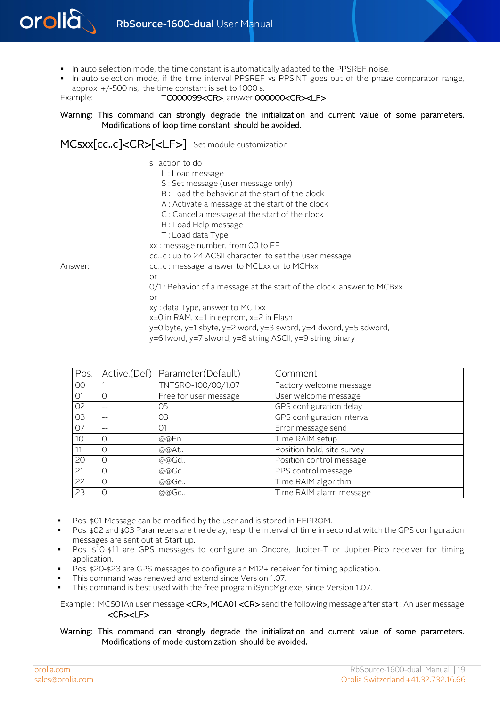

- In auto selection mode, the time constant is automatically adapted to the PPSREF noise.
- In auto selection mode, if the time interval PPSREF vs PPSINT goes out of the phase comparator range, approx. +/-500 ns, the time constant is set to 1000 s.

Example: TC000099<CR>, answer 000000<CR><LF>

#### Warning: This command can strongly degrade the initialization and current value of some parameters. Modifications of loop time constant should be avoided.

MCSXX[CC..C]<CR>[<LF>] Set module customization

s : action to do L : Load message S : Set message (user message only) B : Load the behavior at the start of the clock A : Activate a message at the start of the clock C : Cancel a message at the start of the clock H : Load Help message T : Load data Type xx : message number, from 00 to FF cc…c : up to 24 ACSII character, to set the user message Answer: cc...c : message, answer to MCLxx or to MCHxx or 0/1 : Behavior of a message at the start of the clock, answer to MCBxx or xy : data Type, answer to MCTxx  $x=0$  in RAM,  $x=1$  in eeprom,  $x=2$  in Flash y=0 byte, y=1 sbyte, y=2 word, y=3 sword, y=4 dword, y=5 sdword,

| Pos.            |          | Active.(Def)   Parameter(Default) | Comment                    |
|-----------------|----------|-----------------------------------|----------------------------|
| 00 <sup>o</sup> |          | TNTSRO-100/00/1.07                | Factory welcome message    |
| O <sub>1</sub>  | $\Omega$ | Free for user message             | User welcome message       |
| 02              |          | 05                                | GPS configuration delay    |
| 03              |          | 03                                | GPS configuration interval |
| 07              |          | O <sub>1</sub>                    | Error message send         |
| 10              | $\Omega$ | @@En                              | Time RAIM setup            |
|                 | $\Omega$ | @@At                              | Position hold, site survey |
| 20              | $\Omega$ | @@Gd                              | Position control message   |
| 21              | 0        | @@Gc                              | PPS control message        |
| 22              | $\Omega$ | @@Ge                              | Time RAIM algorithm        |
| 23              | O        | @@Gc                              | Time RAIM alarm message    |

 $y=6$  lword,  $y=7$  slword,  $y=8$  string ASCII,  $y=9$  string binary

- Pos. \$01 Message can be modified by the user and is stored in EEPROM.
- Pos. \$02 and \$03 Parameters are the delay, resp. the interval of time in second at witch the GPS configuration messages are sent out at Start up.
- Pos. \$10-\$11 are GPS messages to configure an Oncore, Jupiter-T or Jupiter-Pico receiver for timing application.
- Pos. \$20-\$23 are GPS messages to configure an M12+ receiver for timing application.
- This command was renewed and extend since Version 1.07.
- This command is best used with the free program iSyncMgr.exe, since Version 1.07.

Example : MCS01An user message <CR>, MCA01 <CR> send the following message after start : An user message <CR><LF>

#### Warning: This command can strongly degrade the initialization and current value of some parameters. Modifications of mode customization should be avoided.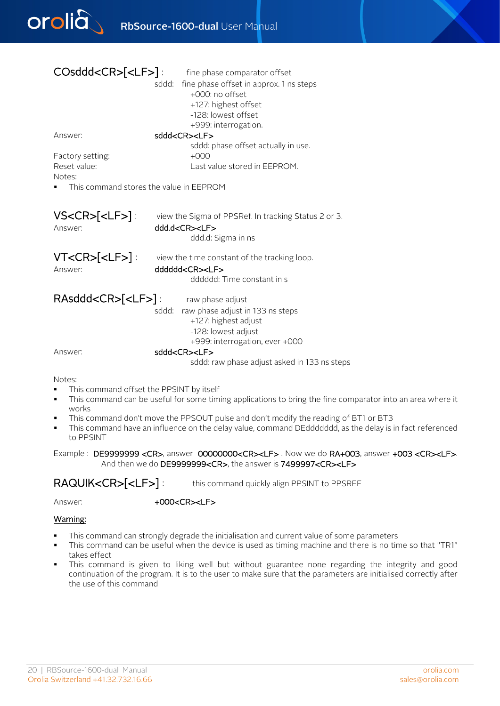

| $COsddd < CR > [-LF >]$ :                         | fine phase comparator offset                         |
|---------------------------------------------------|------------------------------------------------------|
|                                                   | sddd: fine phase offset in approx. 1 ns steps        |
|                                                   | +000: no offset                                      |
|                                                   | +127: highest offset                                 |
|                                                   | -128: lowest offset                                  |
|                                                   | +999: interrogation.                                 |
| Answer:                                           | sddd <cr><lf></lf></cr>                              |
|                                                   | sddd: phase offset actually in use.                  |
| Factory setting:                                  | $+000$                                               |
| Reset value:                                      | Last value stored in EEPROM.                         |
| Notes:<br>This command stores the value in EEPROM |                                                      |
|                                                   |                                                      |
|                                                   |                                                      |
| $VSCR > [ [ [ [ > ] [$                            | view the Sigma of PPSRef. In tracking Status 2 or 3. |
| Answer:                                           | ddd.d <cr><lf></lf></cr>                             |
|                                                   | ddd.d: Sigma in ns                                   |
|                                                   |                                                      |
| VT <cr>[<lf>]:</lf></cr>                          | view the time constant of the tracking loop.         |
| Answer:                                           | dddddd <cr><lf></lf></cr>                            |
|                                                   | dddddd: Time constant in s                           |
|                                                   |                                                      |
| RAsddd <cr>[<lf>]:</lf></cr>                      | raw phase adjust                                     |
|                                                   | sddd: raw phase adjust in 133 ns steps               |
|                                                   | +127: highest adjust                                 |
|                                                   | -128: lowest adjust                                  |
|                                                   | +999: interrogation, ever +000                       |
| Answer:                                           | sddd <cr><lf></lf></cr>                              |
|                                                   | sddd: raw phase adjust asked in 133 ns steps         |
| Notes:                                            |                                                      |

- This command offset the PPSINT by itself
- This command can be useful for some timing applications to bring the fine comparator into an area where it works
- This command don't move the PPSOUT pulse and don't modify the reading of BT1 or BT3
- This command have an influence on the delay value, command DEddddddd, as the delay is in fact referenced to PPSINT

Example : DE9999999 <CR>, answer 00000000<CR><LF>. Now we do RA+003, answer +003 <CR><LF>. And then we do DE9999999<CR>, the answer is 7499997<CR><LF>

RAQUIK<CR>[<LF>]: this command quickly align PPSINT to PPSREF

Answer:  $+000<$ CR><LF>

#### Warning:

- This command can strongly degrade the initialisation and current value of some parameters
- This command can be useful when the device is used as timing machine and there is no time so that "TR1" takes effect
- This command is given to liking well but without guarantee none regarding the integrity and good continuation of the program. It is to the user to make sure that the parameters are initialised correctly after the use of this command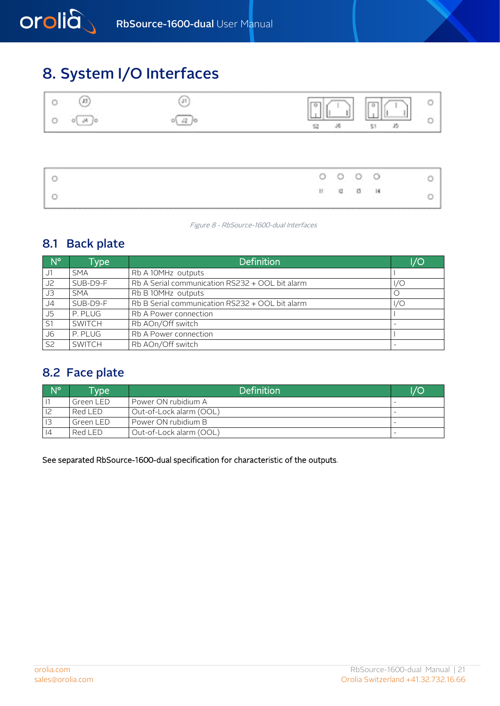# <span id="page-20-0"></span>8. System I/O Interfaces

|  |  | e |  |
|--|--|---|--|

<span id="page-20-1"></span>

|  |  | $\begin{array}{ccccccccc}\n0 & 0 & 0 & 0 \\ \end{array}$ |  |
|--|--|----------------------------------------------------------|--|
|  |  | $11 - 12 - 13 - 14$                                      |  |

Figure 8 - RbSource-1600-dual Interfaces

## 8.1 Back plate

| $\blacksquare$ N° | Type          | <b>Definition</b>                               | /O  |
|-------------------|---------------|-------------------------------------------------|-----|
| J1                | <b>SMA</b>    | Rb A 10MHz outputs                              |     |
| J <sub>2</sub>    | SUB-D9-F      | Rb A Serial communication RS232 + OOL bit alarm | I/O |
| JЗ                | <b>SMA</b>    | Rb B 10MHz outputs                              |     |
| J <sub>4</sub>    | SUB-D9-F      | Rb B Serial communication RS232 + OOL bit alarm | I/O |
| J5                | P. PLUG       | Rb A Power connection                           |     |
| S1                | <b>SWITCH</b> | Rb AOn/Off switch                               |     |
| J6                | P. PLUG       | Rb A Power connection                           |     |
| S <sub>2</sub>    | <b>SWITCH</b> | Rb AOn/Off switch                               |     |

## <span id="page-20-2"></span>8.2 Face plate

| $N^{\circ}$ | <b>Type</b> | <b>Definition</b>       | I/O                      |
|-------------|-------------|-------------------------|--------------------------|
|             | Green LED   | Power ON rubidium A     |                          |
|             | Red LED     | Out-of-Lock alarm (OOL) |                          |
|             | Green LED   | Power ON rubidium B     | $\overline{\phantom{0}}$ |
| 4           | Red LED     | Out-of-Lock alarm (OOL) | $\overline{\phantom{0}}$ |

See separated RbSource-1600-dual specification for characteristic of the outputs.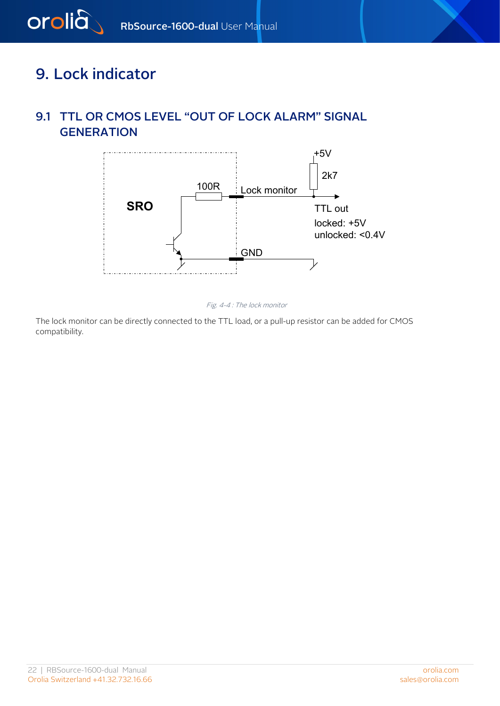# <span id="page-21-1"></span>9. Lock indicator

<span id="page-21-0"></span>orolia

## 9.1 TTL OR CMOS LEVEL "OUT OF LOCK ALARM" SIGNAL **GENERATION**



Fig. 4-4 : The lock monitor

The lock monitor can be directly connected to the TTL load, or a pull-up resistor can be added for CMOS compatibility.